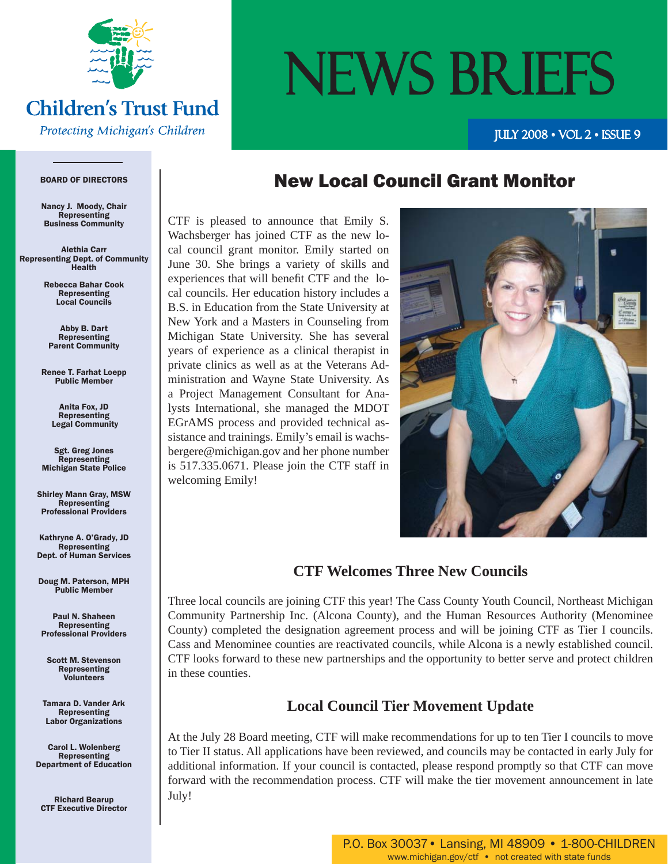

#### **Children's Trust Fund**

**Protecting Michigan's Children** 

# NEWS BRIEFS

JULY  $2008 \cdot \text{VOL} 2 \cdot \text{ISSUE} 9$ 

#### BOARD OF DIRECTORS

Nancy J. Moody, Chair Representing Business Community

Alethia Carr Representing Dept. of Community Health

> Rebecca Bahar Cook Representing Local Councils

Abby B. Dart Representing Parent Community

Renee T. Farhat Loepp Public Member

> Anita Fox, JD Representing Legal Community

Sgt. Greg Jones **Representing** Michigan State Police

Shirley Mann Gray, MSW Representing Professional Providers

Kathryne A. O'Grady, JD Representing Dept. of Human Services

Doug M. Paterson, MPH Public Member

Paul N. Shaheen Representing Professional Providers

Scott M. Stevenson Representing Volunteers

Tamara D. Vander Ark Representing Labor Organizations

Carol L. Wolenberg Representing Department of Education

Richard Bearup CTF Executive Director

#### New Local Council Grant Monitor

CTF is pleased to announce that Emily S. Wachsberger has joined CTF as the new local council grant monitor. Emily started on June 30. She brings a variety of skills and experiences that will benefit CTF and the local councils. Her education history includes a B.S. in Education from the State University at New York and a Masters in Counseling from Michigan State University. She has several years of experience as a clinical therapist in private clinics as well as at the Veterans Administration and Wayne State University. As a Project Management Consultant for Analysts International, she managed the MDOT EGrAMS process and provided technical assistance and trainings. Emily's email is wachsbergere@michigan.gov and her phone number is 517.335.0671. Please join the CTF staff in welcoming Emily!



#### **CTF Welcomes Three New Councils**

Three local councils are joining CTF this year! The Cass County Youth Council, Northeast Michigan Community Partnership Inc. (Alcona County), and the Human Resources Authority (Menominee County) completed the designation agreement process and will be joining CTF as Tier I councils. Cass and Menominee counties are reactivated councils, while Alcona is a newly established council. CTF looks forward to these new partnerships and the opportunity to better serve and protect children in these counties.

#### **Local Council Tier Movement Update**

At the July 28 Board meeting, CTF will make recommendations for up to ten Tier I councils to move to Tier II status. All applications have been reviewed, and councils may be contacted in early July for additional information. If your council is contacted, please respond promptly so that CTF can move forward with the recommendation process. CTF will make the tier movement announcement in late July!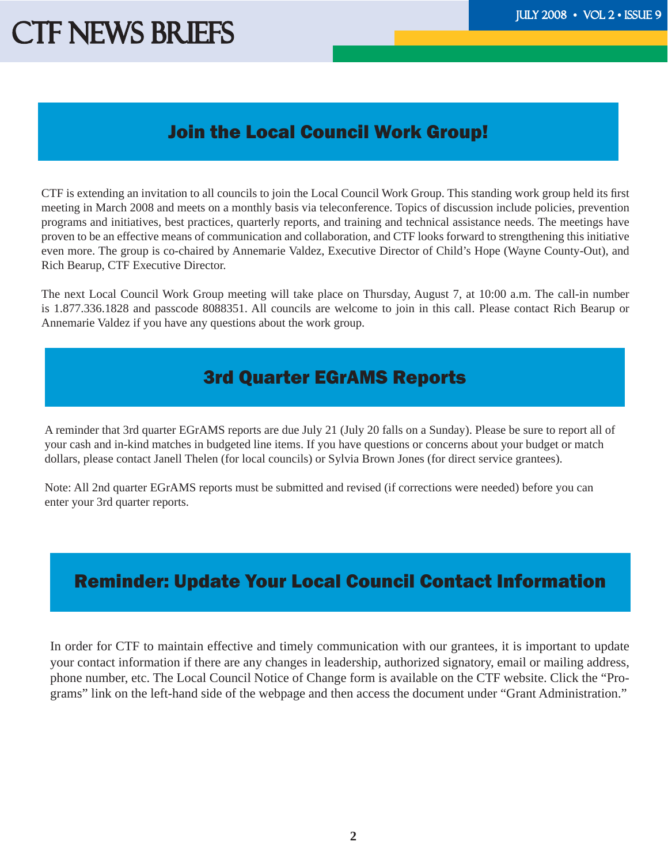## CTF NEWS BRIEFS THE THE THE TELL THE TELL THE TELL THE TELL THE TELL THE TELL THE TELL THE TELL THE TELL THE TELL THE TELL THE TELL THE TELL THE TELL THE TELL THE TELL THE TELL THE TELL THE TELL THE TELL THE TELL THE TELL

#### Join the Local Council Work Group!

CTF is extending an invitation to all councils to join the Local Council Work Group. This standing work group held its first meeting in March 2008 and meets on a monthly basis via teleconference. Topics of discussion include policies, prevention programs and initiatives, best practices, quarterly reports, and training and technical assistance needs. The meetings have proven to be an effective means of communication and collaboration, and CTF looks forward to strengthening this initiative even more. The group is co-chaired by Annemarie Valdez, Executive Director of Child's Hope (Wayne County-Out), and Rich Bearup, CTF Executive Director.

The next Local Council Work Group meeting will take place on Thursday, August 7, at 10:00 a.m. The call-in number is 1.877.336.1828 and passcode 8088351. All councils are welcome to join in this call. Please contact Rich Bearup or Annemarie Valdez if you have any questions about the work group.

#### 3rd Quarter EGrAMS Reports

A reminder that 3rd quarter EGrAMS reports are due July 21 (July 20 falls on a Sunday). Please be sure to report all of your cash and in-kind matches in budgeted line items. If you have questions or concerns about your budget or match dollars, please contact Janell Thelen (for local councils) or Sylvia Brown Jones (for direct service grantees).

Note: All 2nd quarter EGrAMS reports must be submitted and revised (if corrections were needed) before you can enter your 3rd quarter reports.

#### Reminder: Update Your Local Council Contact Information

In order for CTF to maintain effective and timely communication with our grantees, it is important to update your contact information if there are any changes in leadership, authorized signatory, email or mailing address, phone number, etc. The Local Council Notice of Change form is available on the CTF website. Click the "Programs" link on the left-hand side of the webpage and then access the document under "Grant Administration."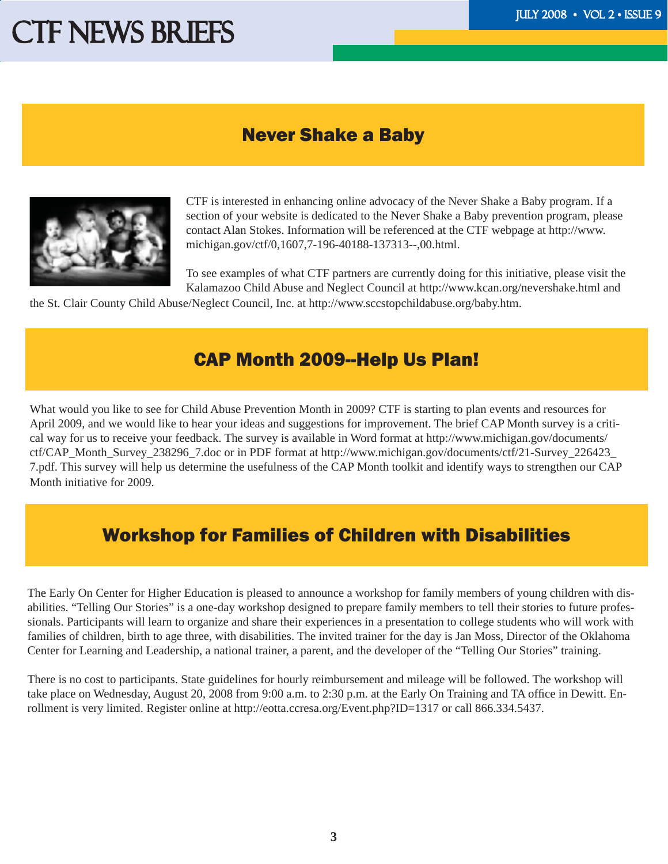### CTF NEWS BRIEFS THE THE THE THE TELL SERVICE SIDE OF THE THE TELL STATE OF THE TELL STATE OF THE TELL STATE OF THE TELL STATE OF THE TELL STATE OF THE TELL STATE OF THE TELL STATE OF THE TELL STATE OF THE TELL STATE OF THE

#### Never Shake a Baby



CTF is interested in enhancing online advocacy of the Never Shake a Baby program. If a section of your website is dedicated to the Never Shake a Baby prevention program, please contact Alan Stokes. Information will be referenced at the CTF webpage at http://www. michigan.gov/ctf/0,1607,7-196-40188-137313--,00.html.

To see examples of what CTF partners are currently doing for this initiative, please visit the Kalamazoo Child Abuse and Neglect Council at http://www.kcan.org/nevershake.html and

the St. Clair County Child Abuse/Neglect Council, Inc. at http://www.sccstopchildabuse.org/baby.htm.

#### CAP Month 2009--Help Us Plan!

What would you like to see for Child Abuse Prevention Month in 2009? CTF is starting to plan events and resources for April 2009, and we would like to hear your ideas and suggestions for improvement. The brief CAP Month survey is a critical way for us to receive your feedback. The survey is available in Word format at http://www.michigan.gov/documents/ ctf/CAP\_Month\_Survey\_238296\_7.doc or in PDF format at http://www.michigan.gov/documents/ctf/21-Survey\_226423\_ 7.pdf. This survey will help us determine the usefulness of the CAP Month toolkit and identify ways to strengthen our CAP Month initiative for 2009.

#### Workshop for Families of Children with Disabilities

The Early On Center for Higher Education is pleased to announce a workshop for family members of young children with disabilities. "Telling Our Stories" is a one-day workshop designed to prepare family members to tell their stories to future professionals. Participants will learn to organize and share their experiences in a presentation to college students who will work with families of children, birth to age three, with disabilities. The invited trainer for the day is Jan Moss, Director of the Oklahoma Center for Learning and Leadership, a national trainer, a parent, and the developer of the "Telling Our Stories" training.

There is no cost to participants. State guidelines for hourly reimbursement and mileage will be followed. The workshop will take place on Wednesday, August 20, 2008 from 9:00 a.m. to 2:30 p.m. at the Early On Training and TA office in Dewitt. Enrollment is very limited. Register online at http://eotta.ccresa.org/Event.php?ID=1317 or call 866.334.5437.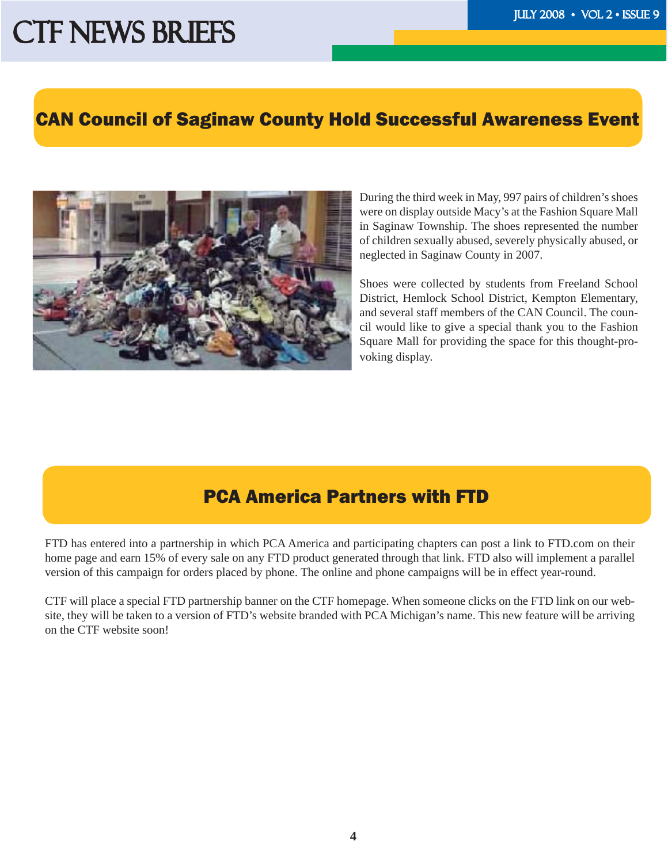## CTF NEWS BRIEFS THE THE THE THE TELL SERVICE STATE OF THE TELL STATES OF THE TELL STATES OF THE TELL STATES OF THE TELL STATES OF THE TELL STATES OF THE TELL STATES OF THE TELL STATES OF THE TELL STATES OF THE TELL STATES

#### CAN Council of Saginaw County Hold Successful Awareness Event

i<br>I



During the third week in May, 997 pairs of children's shoes were on display outside Macy's at the Fashion Square Mall in Saginaw Township. The shoes represented the number of children sexually abused, severely physically abused, or neglected in Saginaw County in 2007.

Shoes were collected by students from Freeland School District, Hemlock School District, Kempton Elementary, and several staff members of the CAN Council. The council would like to give a special thank you to the Fashion Square Mall for providing the space for this thought-provoking display.

#### PCA America Partners with FTD

FTD has entered into a partnership in which PCA America and participating chapters can post a link to FTD.com on their home page and earn 15% of every sale on any FTD product generated through that link. FTD also will implement a parallel version of this campaign for orders placed by phone. The online and phone campaigns will be in effect year-round.

CTF will place a special FTD partnership banner on the CTF homepage. When someone clicks on the FTD link on our website, they will be taken to a version of FTD's website branded with PCA Michigan's name. This new feature will be arriving on the CTF website soon!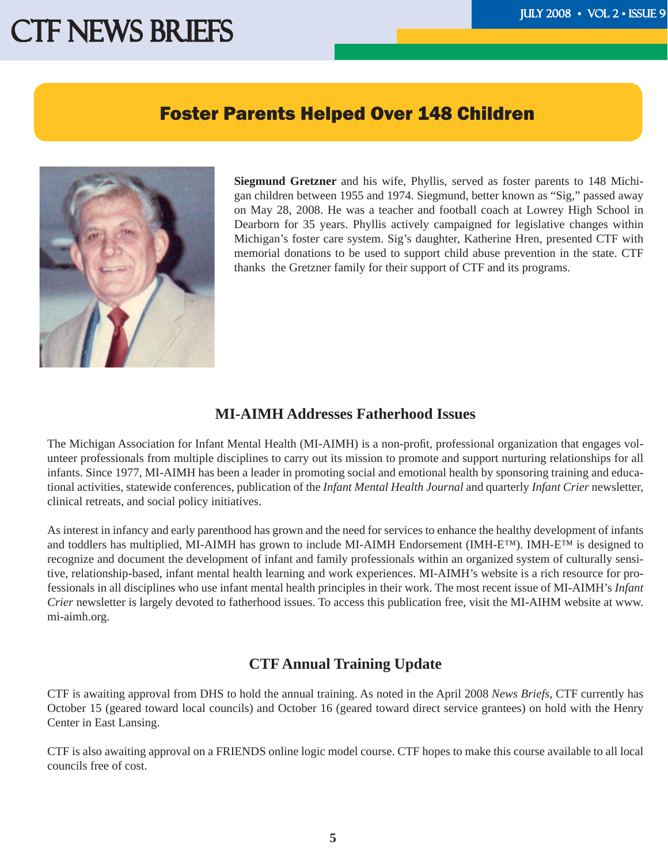### CTF NEWS BRIEFS THE THE THE THE THE THE TELL SERVICE OF THE TELL SERVICE OF THE TELL SERVICE OF THE TELL SERVICE OF THE TELL SERVICE OF THE TELL SERVICE OF THE TELL SERVICE OF THE TELL SERVICE OF THE TELL SERVICE OF THE TE

#### Foster Parents Helped Over 148 Children

Ī



**Siegmund Gretzner** and his wife, Phyllis, served as foster parents to 148 Michigan children between 1955 and 1974. Siegmund, better known as "Sig," passed away on May 28, 2008. He was a teacher and football coach at Lowrey High School in Dearborn for 35 years. Phyllis actively campaigned for legislative changes within Michigan's foster care system. Sig's daughter, Katherine Hren, presented CTF with memorial donations to be used to support child abuse prevention in the state. CTF thanks the Gretzner family for their support of CTF and its programs.

#### **MI-AIMH Addresses Fatherhood Issues**

The Michigan Association for Infant Mental Health (MI-AIMH) is a non-profit, professional organization that engages volunteer professionals from multiple disciplines to carry out its mission to promote and support nurturing relationships for all infants. Since 1977, MI-AIMH has been a leader in promoting social and emotional health by sponsoring training and educational activities, statewide conferences, publication of the *Infant Mental Health Journal* and quarterly *Infant Crier* newsletter, clinical retreats, and social policy initiatives.

As interest in infancy and early parenthood has grown and the need for services to enhance the healthy development of infants and toddlers has multiplied, MI-AIMH has grown to include MI-AIMH Endorsement (IMH-E™). IMH-E™ is designed to recognize and document the development of infant and family professionals within an organized system of culturally sensitive, relationship-based, infant mental health learning and work experiences. MI-AIMH's website is a rich resource for professionals in all disciplines who use infant mental health principles in their work. The most recent issue of MI-AIMH's *Infant Crier* newsletter is largely devoted to fatherhood issues. To access this publication free, visit the MI-AIHM website at www. mi-aimh.org.

#### **CTF Annual Training Update**

CTF is awaiting approval from DHS to hold the annual training. As noted in the April 2008 *News Briefs*, CTF currently has October 15 (geared toward local councils) and October 16 (geared toward direct service grantees) on hold with the Henry Center in East Lansing.

CTF is also awaiting approval on a FRIENDS online logic model course. CTF hopes to make this course available to all local councils free of cost.